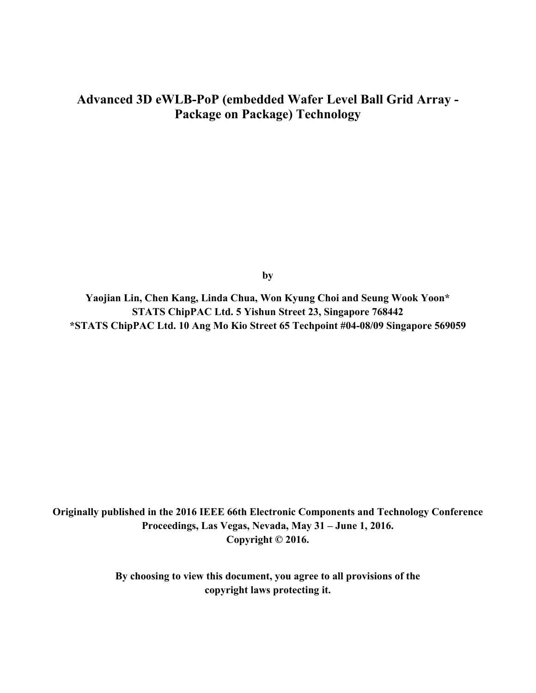# **Advanced 3D eWLB-PoP (embedded Wafer Level Ball Grid Array - Package on Package) Technology**

**by** 

**Yaojian Lin, Chen Kang, Linda Chua, Won Kyung Choi and Seung Wook Yoon\* STATS ChipPAC Ltd. 5 Yishun Street 23, Singapore 768442 \*STATS ChipPAC Ltd. 10 Ang Mo Kio Street 65 Techpoint #04-08/09 Singapore 569059** 

**Originally published in the 2016 IEEE 66th Electronic Components and Technology Conference Proceedings, Las Vegas, Nevada, May 31 – June 1, 2016. Copyright © 2016.** 

> **By choosing to view this document, you agree to all provisions of the copyright laws protecting it.**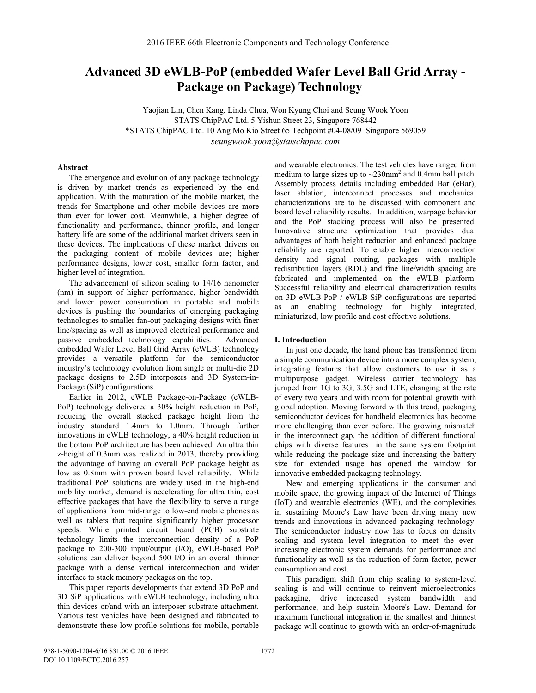## **Advanced 3D eWLB-PoP (embedded Wafer Level Ball Grid Array - Package on Package) Technology**

Yaojian Lin, Chen Kang, Linda Chua, Won Kyung Choi and Seung Wook Yoon STATS ChipPAC Ltd. 5 Yishun Street 23, Singapore 768442 \*STATS ChipPAC Ltd. 10 Ang Mo Kio Street 65 Techpoint #04-08/09 Singapore 569059 *seungwook.yoon@statschppac.com*

#### **Abstract**

The emergence and evolution of any package technology is driven by market trends as experienced by the end application. With the maturation of the mobile market, the trends for Smartphone and other mobile devices are more than ever for lower cost. Meanwhile, a higher degree of functionality and performance, thinner profile, and longer battery life are some of the additional market drivers seen in these devices. The implications of these market drivers on the packaging content of mobile devices are; higher performance designs, lower cost, smaller form factor, and higher level of integration.

The advancement of silicon scaling to 14/16 nanometer (nm) in support of higher performance, higher bandwidth and lower power consumption in portable and mobile devices is pushing the boundaries of emerging packaging technologies to smaller fan-out packaging designs with finer line/spacing as well as improved electrical performance and passive embedded technology capabilities. Advanced embedded Wafer Level Ball Grid Array (eWLB) technology provides a versatile platform for the semiconductor industry's technology evolution from single or multi-die 2D package designs to 2.5D interposers and 3D System-in-Package (SiP) configurations.

Earlier in 2012, eWLB Package-on-Package (eWLB-PoP) technology delivered a 30% height reduction in PoP, reducing the overall stacked package height from the industry standard 1.4mm to 1.0mm. Through further innovations in eWLB technology, a 40% height reduction in the bottom PoP architecture has been achieved. An ultra thin z-height of 0.3mm was realized in 2013, thereby providing the advantage of having an overall PoP package height as low as 0.8mm with proven board level reliability. While traditional PoP solutions are widely used in the high-end mobility market, demand is accelerating for ultra thin, cost effective packages that have the flexibility to serve a range of applications from mid-range to low-end mobile phones as well as tablets that require significantly higher processor speeds. While printed circuit board (PCB) substrate technology limits the interconnection density of a PoP package to 200-300 input/output (I/O), eWLB-based PoP solutions can deliver beyond 500 I/O in an overall thinner package with a dense vertical interconnection and wider interface to stack memory packages on the top.

This paper reports developments that extend 3D PoP and 3D SiP applications with eWLB technology, including ultra thin devices or/and with an interposer substrate attachment. Various test vehicles have been designed and fabricated to demonstrate these low profile solutions for mobile, portable and wearable electronics. The test vehicles have ranged from medium to large sizes up to  $\sim$ 230mm<sup>2</sup> and 0.4mm ball pitch. Assembly process details including embedded Bar (eBar), laser ablation, interconnect processes and mechanical characterizations are to be discussed with component and board level reliability results. In addition, warpage behavior and the PoP stacking process will also be presented. Innovative structure optimization that provides dual advantages of both height reduction and enhanced package reliability are reported. To enable higher interconnection density and signal routing, packages with multiple redistribution layers (RDL) and fine line/width spacing are fabricated and implemented on the eWLB platform. Successful reliability and electrical characterization results on 3D eWLB-PoP / eWLB-SiP configurations are reported as an enabling technology for highly integrated, miniaturized, low profile and cost effective solutions.

### **I. Introduction**

In just one decade, the hand phone has transformed from a simple communication device into a more complex system, integrating features that allow customers to use it as a multipurpose gadget. Wireless carrier technology has jumped from 1G to 3G, 3.5G and LTE, changing at the rate of every two years and with room for potential growth with global adoption. Moving forward with this trend, packaging semiconductor devices for handheld electronics has become more challenging than ever before. The growing mismatch in the interconnect gap, the addition of different functional chips with diverse features in the same system footprint while reducing the package size and increasing the battery size for extended usage has opened the window for innovative embedded packaging technology.

New and emerging applications in the consumer and mobile space, the growing impact of the Internet of Things (IoT) and wearable electronics (WE), and the complexities in sustaining Moore's Law have been driving many new trends and innovations in advanced packaging technology. The semiconductor industry now has to focus on density scaling and system level integration to meet the everincreasing electronic system demands for performance and functionality as well as the reduction of form factor, power consumption and cost.

This paradigm shift from chip scaling to system-level scaling is and will continue to reinvent microelectronics packaging, drive increased system bandwidth and performance, and help sustain Moore's Law. Demand for maximum functional integration in the smallest and thinnest package will continue to growth with an order-of-magnitude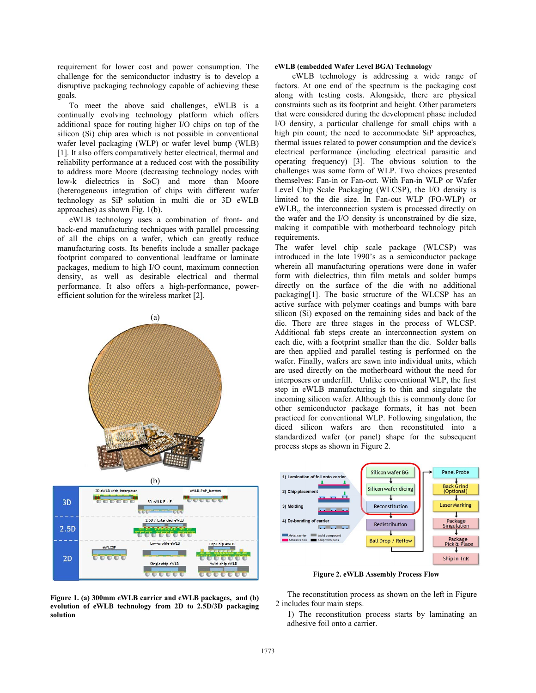requirement for lower cost and power consumption. The challenge for the semiconductor industry is to develop a disruptive packaging technology capable of achieving these goals.

To meet the above said challenges, eWLB is a continually evolving technology platform which offers additional space for routing higher I/O chips on top of the silicon (Si) chip area which is not possible in conventional wafer level packaging (WLP) or wafer level bump (WLB) [1]. It also offers comparatively better electrical, thermal and reliability performance at a reduced cost with the possibility to address more Moore (decreasing technology nodes with low-k dielectrics in SoC) and more than Moore (heterogeneous integration of chips with different wafer technology as SiP solution in multi die or 3D eWLB approaches) as shown Fig. 1(b).

eWLB technology uses a combination of front- and back-end manufacturing techniques with parallel processing of all the chips on a wafer, which can greatly reduce manufacturing costs. Its benefits include a smaller package footprint compared to conventional leadframe or laminate packages, medium to high I/O count, maximum connection density, as well as desirable electrical and thermal performance. It also offers a high-performance, powerefficient solution for the wireless market [2].





**Figure 1. (a) 300mm eWLB carrier and eWLB packages, and (b) evolution of eWLB technology from 2D to 2.5D/3D packaging solution** 

## **eWLB (embedded Wafer Level BGA) Technology**

 eWLB technology is addressing a wide range of factors. At one end of the spectrum is the packaging cost along with testing costs. Alongside, there are physical constraints such as its footprint and height. Other parameters that were considered during the development phase included I/O density, a particular challenge for small chips with a high pin count; the need to accommodate SiP approaches, thermal issues related to power consumption and the device's electrical performance (including electrical parasitic and operating frequency) [3]. The obvious solution to the challenges was some form of WLP. Two choices presented themselves: Fan-in or Fan-out. With Fan-in WLP or Wafer Level Chip Scale Packaging (WLCSP), the I/O density is limited to the die size. In Fan-out WLP (FO-WLP) or eWLB,, the interconnection system is processed directly on the wafer and the I/O density is unconstrained by die size, making it compatible with motherboard technology pitch requirements.

The wafer level chip scale package (WLCSP) was introduced in the late 1990's as a semiconductor package wherein all manufacturing operations were done in wafer form with dielectrics, thin film metals and solder bumps directly on the surface of the die with no additional packaging[1]. The basic structure of the WLCSP has an active surface with polymer coatings and bumps with bare silicon (Si) exposed on the remaining sides and back of the die. There are three stages in the process of WLCSP. Additional fab steps create an interconnection system on each die, with a footprint smaller than the die. Solder balls are then applied and parallel testing is performed on the wafer. Finally, wafers are sawn into individual units, which are used directly on the motherboard without the need for interposers or underfill. Unlike conventional WLP, the first step in eWLB manufacturing is to thin and singulate the incoming silicon wafer. Although this is commonly done for other semiconductor package formats, it has not been practiced for conventional WLP. Following singulation, the diced silicon wafers are then reconstituted into a standardized wafer (or panel) shape for the subsequent process steps as shown in Figure 2.



**Figure 2. eWLB Assembly Process Flow** 

The reconstitution process as shown on the left in Figure 2 includes four main steps.

1) The reconstitution process starts by laminating an adhesive foil onto a carrier.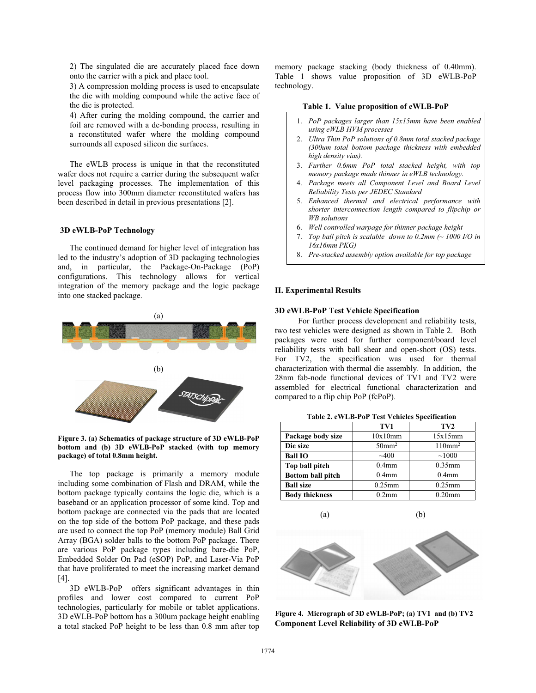2) The singulated die are accurately placed face down onto the carrier with a pick and place tool.

3) A compression molding process is used to encapsulate the die with molding compound while the active face of the die is protected.

4) After curing the molding compound, the carrier and foil are removed with a de-bonding process, resulting in a reconstituted wafer where the molding compound surrounds all exposed silicon die surfaces.

The eWLB process is unique in that the reconstituted wafer does not require a carrier during the subsequent wafer level packaging processes. The implementation of this process flow into 300mm diameter reconstituted wafers has been described in detail in previous presentations [2].

#### **3D eWLB-PoP Technology**

The continued demand for higher level of integration has led to the industry's adoption of 3D packaging technologies and, in particular, the Package-On-Package (PoP) configurations. This technology allows for vertical integration of the memory package and the logic package into one stacked package.



**Figure 3. (a) Schematics of package structure of 3D eWLB-PoP bottom and (b) 3D eWLB-PoP stacked (with top memory package) of total 0.8mm height.**

The top package is primarily a memory module including some combination of Flash and DRAM, while the bottom package typically contains the logic die, which is a baseband or an application processor of some kind. Top and bottom package are connected via the pads that are located on the top side of the bottom PoP package, and these pads are used to connect the top PoP (memory module) Ball Grid Array (BGA) solder balls to the bottom PoP package. There are various PoP package types including bare-die PoP, Embedded Solder On Pad (eSOP) PoP, and Laser-Via PoP that have proliferated to meet the increasing market demand [4].

3D eWLB-PoP offers significant advantages in thin profiles and lower cost compared to current PoP technologies, particularly for mobile or tablet applications. 3D eWLB-PoP bottom has a 300um package height enabling a total stacked PoP height to be less than 0.8 mm after top

memory package stacking (body thickness of 0.40mm). Table 1 shows value proposition of 3D eWLB-PoP technology.

#### **Table 1. Value proposition of eWLB-PoP**

- 1. *PoP packages larger than 15x15mm have been enabled using eWLB HVM processes*
- 2. *Ultra Thin PoP solutions of 0.8mm total stacked package (300um total bottom package thickness with embedded high density vias).*
- 3. *Further 0.6mm PoP total stacked height, with top memory package made thinner in eWLB technology.*
- 4. *Package meets all Component Level and Board Level Reliability Tests per JEDEC Standard*
- 5. *Enhanced thermal and electrical performance with shorter interconnection length compared to flipchip or WB solutions*
- 6. *Well controlled warpage for thinner package height*
- 7. *Top ball pitch is scalable down to 0.2mm (~ 1000 I/O in 16x16mm PKG)*
- 8. *Pre-stacked assembly option available for top package*

### **II. Experimental Results**

## **3D eWLB-PoP Test Vehicle Specification**

 For further process development and reliability tests, two test vehicles were designed as shown in Table 2. Both packages were used for further component/board level reliability tests with ball shear and open-short (OS) tests. For TV2, the specification was used for thermal characterization with thermal die assembly. In addition, the 28nm fab-node functional devices of TV1 and TV2 were assembled for electrical functional characterization and compared to a flip chip PoP (fcPoP).

|                          | TV1                  | TV <sub>2</sub>   |
|--------------------------|----------------------|-------------------|
| Package body size        | 10x10mm              | 15x15mm           |
| Die size                 | $50$ mm <sup>2</sup> | $110 \text{mm}^2$ |
| <b>Ball IO</b>           | $-400$               | ~1000             |
| Top ball pitch           | $0.4$ mm             | $0.35$ mm         |
| <b>Bottom ball pitch</b> | $0.4$ mm             | 0.4 <sub>mm</sub> |
| <b>Ball size</b>         | $0.25$ mm            | $0.25$ mm         |
| <b>Body thickness</b>    | $0.2$ mm             | $0.20$ mm         |

**Table 2. eWLB-PoP Test Vehicles Specification** 



**Figure 4. Micrograph of 3D eWLB-PoP; (a) TV1 and (b) TV2 Component Level Reliability of 3D eWLB-PoP**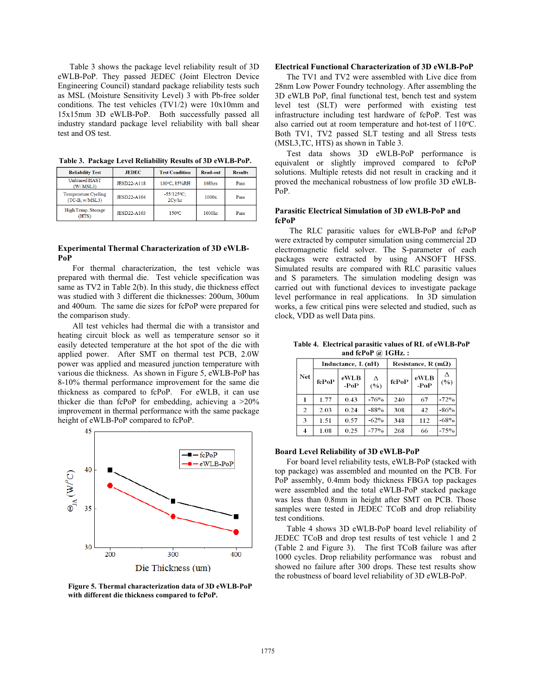Table 3 shows the package level reliability result of 3D eWLB-PoP. They passed JEDEC (Joint Electron Device Engineering Council) standard package reliability tests such as MSL (Moisture Sensitivity Level) 3 with Pb-free solder conditions. The test vehicles (TV1/2) were 10x10mm and 15x15mm 3D eWLB-PoP. Both successfully passed all industry standard package level reliability with ball shear test and OS test.

**Table 3. Package Level Reliability Results of 3D eWLB-PoP.** 

| <b>Reliability Test</b>                 | <b>JEDEC</b>       | <b>Test Condition</b>   | <b>Read-out</b>    | <b>Results</b> |
|-----------------------------------------|--------------------|-------------------------|--------------------|----------------|
| <b>Unbiased HAST</b><br>(W/MSL3)        | <b>JESD22-A118</b> | 130°C, 85%RH            | 168hrs             | Pass           |
| Temperature Cycling<br>$(TC-B, w/MSL3)$ | <b>JESD22-A104</b> | $-55/125$ °C;<br>2Cv/hr | 1000x              | Pass           |
| High Temp. Storage<br><b>HTS</b>        | <b>JESD22-A103</b> | $150^{\circ}$ C         | 1000 <sub>hr</sub> | Pass           |

#### **Experimental Thermal Characterization of 3D eWLB-PoP**

For thermal characterization, the test vehicle was prepared with thermal die. Test vehicle specification was same as TV2 in Table 2(b). In this study, die thickness effect was studied with 3 different die thicknesses: 200um, 300um and 400um. The same die sizes for fcPoP were prepared for the comparison study.

All test vehicles had thermal die with a transistor and heating circuit block as well as temperature sensor so it easily detected temperature at the hot spot of the die with applied power. After SMT on thermal test PCB, 2.0W power was applied and measured junction temperature with various die thickness. As shown in Figure 5, eWLB-PoP has 8-10% thermal performance improvement for the same die thickness as compared to fcPoP. For eWLB, it can use thicker die than fcPoP for embedding, achieving a >20% improvement in thermal performance with the same package height of eWLB-PoP compared to fcPoP.



**Figure 5. Thermal characterization data of 3D eWLB-PoP with different die thickness compared to fcPoP.** 

## **Electrical Functional Characterization of 3D eWLB-PoP**

The TV1 and TV2 were assembled with Live dice from 28nm Low Power Foundry technology. After assembling the 3D eWLB PoP, final functional test, bench test and system level test (SLT) were performed with existing test infrastructure including test hardware of fcPoP. Test was also carried out at room temperature and hot-test of 110°C. Both TV1, TV2 passed SLT testing and all Stress tests (MSL3,TC, HTS) as shown in Table 3.

Test data shows 3D eWLB-PoP performance is equivalent or slightly improved compared to fcPoP solutions. Multiple retests did not result in cracking and it proved the mechanical robustness of low profile 3D eWLB-PoP.

## **Parasitic Electrical Simulation of 3D eWLB-PoP and fcPoP**

The RLC parasitic values for eWLB-PoP and fcPoP were extracted by computer simulation using commercial 2D electromagnetic field solver. The S-parameter of each packages were extracted by using ANSOFT HFSS. Simulated results are compared with RLC parasitic values and S parameters. The simulation modeling design was carried out with functional devices to investigate package level performance in real applications. In 3D simulation works, a few critical pins were selected and studied, such as clock, VDD as well Data pins.

**Table 4. Electrical parasitic values of RL of eWLB-PoP and fcPoP @ 1GHz. :** 

|            | Inductance, L (nH) |                | Resistance, R (m $\Omega$ ) |       |                |        |
|------------|--------------------|----------------|-----------------------------|-------|----------------|--------|
| <b>Net</b> | fcPoP              | eWLB<br>$-PoP$ | Λ<br>(%)                    | fcPoP | eWLB<br>$-PoP$ | (%)    |
|            | 1.77               | 0.43           | -76%                        | 240   | 67             | $-72%$ |
| 2          | 2.03               | 0.24           | $-88%$                      | 308   | 42             | $-86%$ |
| 3          | 1.51               | 0.57           | $-62%$                      | 348   | 112            | $-68%$ |
| 4          | 1.08               | 0.25           | $-77%$                      | 268   | 66             | $-75%$ |

### **Board Level Reliability of 3D eWLB-PoP**

For board level reliability tests, eWLB-PoP (stacked with top package) was assembled and mounted on the PCB. For PoP assembly, 0.4mm body thickness FBGA top packages were assembled and the total eWLB-PoP stacked package was less than 0.8mm in height after SMT on PCB. Those samples were tested in JEDEC TCoB and drop reliability test conditions.

Table 4 shows 3D eWLB-PoP board level reliability of JEDEC TCoB and drop test results of test vehicle 1 and 2 (Table 2 and Figure 3). The first TCoB failure was after 1000 cycles. Drop reliability performance was robust and showed no failure after 300 drops. These test results show the robustness of board level reliability of 3D eWLB-PoP.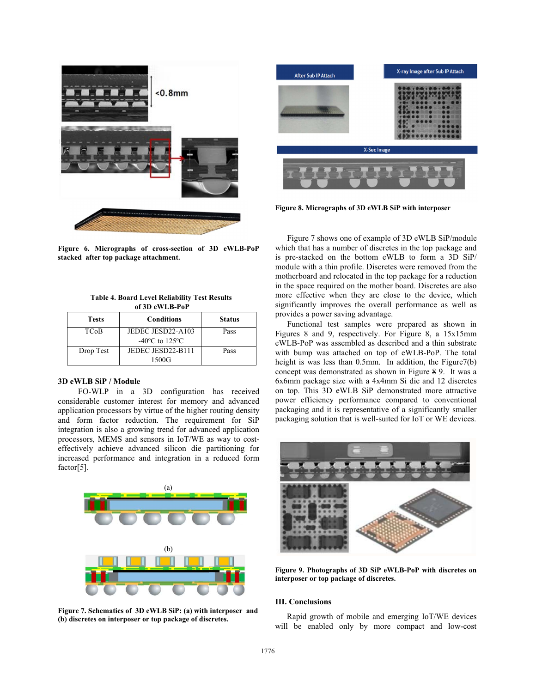

**Figure 6. Micrographs of cross-section of 3D eWLB-PoP stacked after top package attachment.** 

| <b>Table 4. Board Level Reliability Test Results</b> |  |  |  |  |
|------------------------------------------------------|--|--|--|--|
| of 3D eWLB-PoP                                       |  |  |  |  |
|                                                      |  |  |  |  |

| <b>Tests</b> | <b>Conditions</b>                                      | <b>Status</b> |
|--------------|--------------------------------------------------------|---------------|
| <b>TCoB</b>  | JEDEC JESD22-A103<br>$-40\degree$ C to 125 $\degree$ C | Pass          |
| Drop Test    | JEDEC JESD22-B111<br>1500G                             | Pass          |

#### **3D eWLB SiP / Module**

 FO-WLP in a 3D configuration has received considerable customer interest for memory and advanced application processors by virtue of the higher routing density and form factor reduction. The requirement for SiP integration is also a growing trend for advanced application processors, MEMS and sensors in IoT/WE as way to costeffectively achieve advanced silicon die partitioning for increased performance and integration in a reduced form factor[5].



**Figure 7. Schematics of 3D eWLB SiP: (a) with interposer and (b) discretes on interposer or top package of discretes.** 



**Figure 8. Micrographs of 3D eWLB SiP with interposer** 

Figure 7 shows one of example of 3D eWLB SiP/module which that has a number of discretes in the top package and is pre-stacked on the bottom eWLB to form a 3D SiP/ module with a thin profile. Discretes were removed from the motherboard and relocated in the top package for a reduction in the space required on the mother board. Discretes are also more effective when they are close to the device, which significantly improves the overall performance as well as provides a power saving advantage.

Functional test samples were prepared as shown in Figures 8 and 9, respectively. For Figure 8, a 15x15mm eWLB-PoP was assembled as described and a thin substrate with bump was attached on top of eWLB-PoP. The total height is was less than 0.5mm. In addition, the Figure7(b) concept was demonstrated as shown in Figure 8 9. It was a 6x6mm package size with a 4x4mm Si die and 12 discretes on top. This 3D eWLB SiP demonstrated more attractive power efficiency performance compared to conventional packaging and it is representative of a significantly smaller packaging solution that is well-suited for IoT or WE devices.



**Figure 9. Photographs of 3D SiP eWLB-PoP with discretes on interposer or top package of discretes.** 

#### **III. Conclusions**

Rapid growth of mobile and emerging IoT/WE devices will be enabled only by more compact and low-cost